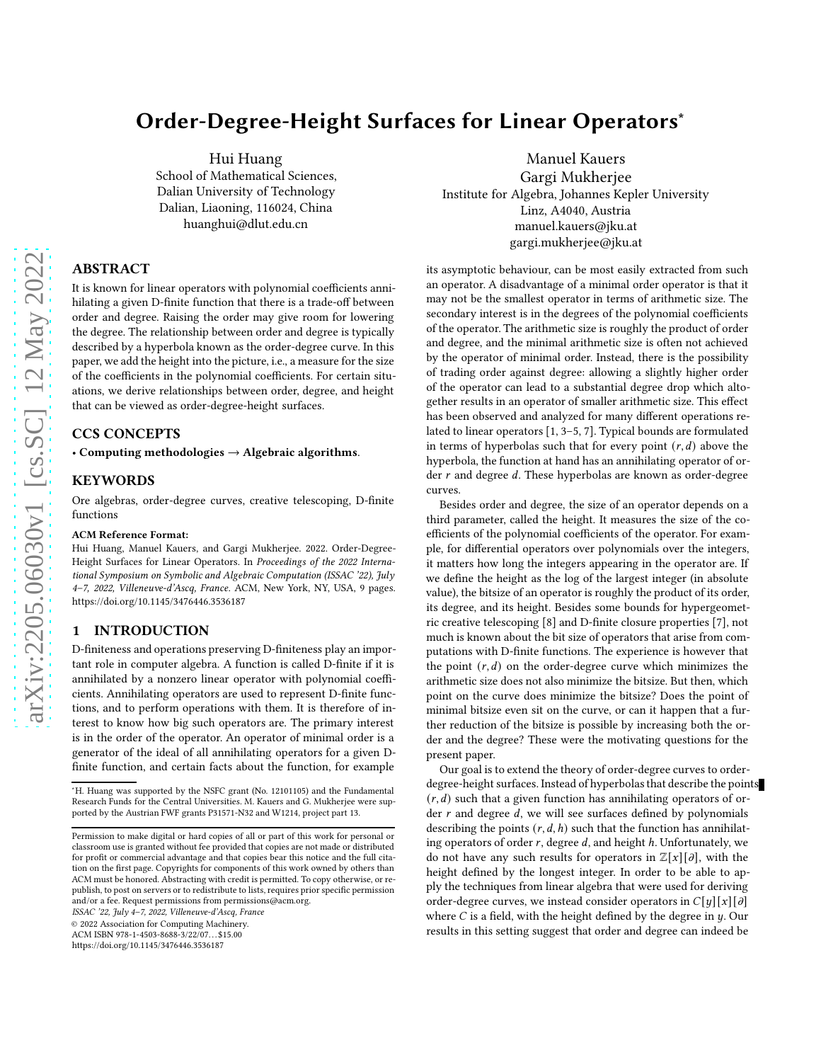# Order-Degree-Height Surfaces for Linear Operators<sup>∗</sup>

Hui Huang

School of Mathematical Sciences, Dalian University of Technology Dalian, Liaoning, 116024, China huanghui@dlut.edu.cn

# ABSTRACT

It is known for linear operators with polynomial coefficients annihilating a given D-finite function that there is a trade-off between order and degree. Raising the order may give room for lowering the degree. The relationship between order and degree is typically described by a hyperbola known as the order-degree curve. In this paper, we add the height into the picture, i.e., a measure for the size of the coefficients in the polynomial coefficients. For certain situations, we derive relationships between order, degree, and height that can be viewed as order-degree-height surfaces.

# CCS CONCEPTS

• Computing methodologies  $\rightarrow$  Algebraic algorithms.

## KEYWORDS

Ore algebras, order-degree curves, creative telescoping, D-finite functions

#### ACM Reference Format:

Hui Huang, Manuel Kauers, and Gargi Mukherjee. 2022. Order-Degree-Height Surfaces for Linear Operators. In Proceedings of the 2022 International Symposium on Symbolic and Algebraic Computation (ISSAC '22), July 4–7, 2022, Villeneuve-d'Ascq, France. ACM, New York, NY, USA, [9](#page-8-0) pages. <https://doi.org/10.1145/3476446.3536187>

# 1 INTRODUCTION

D-finiteness and operations preserving D-finiteness play an important role in computer algebra. A function is called D-finite if it is annihilated by a nonzero linear operator with polynomial coefficients. Annihilating operators are used to represent D-finite functions, and to perform operations with them. It is therefore of interest to know how big such operators are. The primary interest is in the order of the operator. An operator of minimal order is a generator of the ideal of all annihilating operators for a given Dfinite function, and certain facts about the function, for example

ISSAC '22, July 4–7, 2022, Villeneuve-d'Ascq, France

© 2022 Association for Computing Machinery.

ACM ISBN 978-1-4503-8688-3/22/07. . . \$15.00

<https://doi.org/10.1145/3476446.3536187>

Manuel Kauers Gargi Mukherjee Institute for Algebra, Johannes Kepler University Linz, A4040, Austria manuel.kauers@jku.at gargi.mukherjee@jku.at

its asymptotic behaviour, can be most easily extracted from such an operator. A disadvantage of a minimal order operator is that it may not be the smallest operator in terms of arithmetic size. The secondary interest is in the degrees of the polynomial coefficients of the operator. The arithmetic size is roughly the product of order and degree, and the minimal arithmetic size is often not achieved by the operator of minimal order. Instead, there is the possibility of trading order against degree: allowing a slightly higher order of the operator can lead to a substantial degree drop which altogether results in an operator of smaller arithmetic size. This effect has been observed and analyzed for many different operations related to linear operators [\[1](#page-8-1), [3](#page-8-2)[–5,](#page-8-3) [7\]](#page-8-4). Typical bounds are formulated in terms of hyperbolas such that for every point  $(r, d)$  above the hyperbola, the function at hand has an annihilating operator of order  $r$  and degree  $d$ . These hyperbolas are known as order-degree curves.

Besides order and degree, the size of an operator depends on a third parameter, called the height. It measures the size of the coefficients of the polynomial coefficients of the operator. For example, for differential operators over polynomials over the integers, it matters how long the integers appearing in the operator are. If we define the height as the log of the largest integer (in absolute value), the bitsize of an operator is roughly the product of its order, its degree, and its height. Besides some bounds for hypergeometric creative telescoping [\[8\]](#page-8-5) and D-finite closure properties [\[7\]](#page-8-4), not much is known about the bit size of operators that arise from computations with D-finite functions. The experience is however that the point  $(r, d)$  on the order-degree curve which minimizes the arithmetic size does not also minimize the bitsize. But then, which point on the curve does minimize the bitsize? Does the point of minimal bitsize even sit on the curve, or can it happen that a further reduction of the bitsize is possible by increasing both the order and the degree? These were the motivating questions for the present paper.

Our goal is to extend the theory of order-degree curves to orderdegree-height surfaces. Instead of hyperbolas that describe the points  $(r, d)$  such that a given function has annihilating operators of order  $r$  and degree  $d$ , we will see surfaces defined by polynomials describing the points  $(r, d, h)$  such that the function has annihilating operators of order  $r$ , degree  $d$ , and height  $h$ . Unfortunately, we do not have any such results for operators in  $\mathbb{Z}[x][\partial]$ , with the height defined by the longest integer. In order to be able to apply the techniques from linear algebra that were used for deriving order-degree curves, we instead consider operators in  $C[y][x][\partial]$ where  $C$  is a field, with the height defined by the degree in  $y$ . Our results in this setting suggest that order and degree can indeed be

<sup>∗</sup>H. Huang was supported by the NSFC grant (No. 12101105) and the Fundamental Research Funds for the Central Universities. M. Kauers and G. Mukherjee were supported by the Austrian FWF grants P31571-N32 and W1214, project part 13.

Permission to make digital or hard copies of all or part of this work for personal or classroom use is granted without fee provided that copies are not made or distributed for profit or commercial advantage and that copies bear this notice and the full citation on the first page. Copyrights for components of this work owned by others than ACM must be honored. Abstracting with credit is permitted. To copy otherwise, or republish, to post on servers or to redistribute to lists, requires prior specific permission and/or a fee. Request permissions from permissions@acm.org.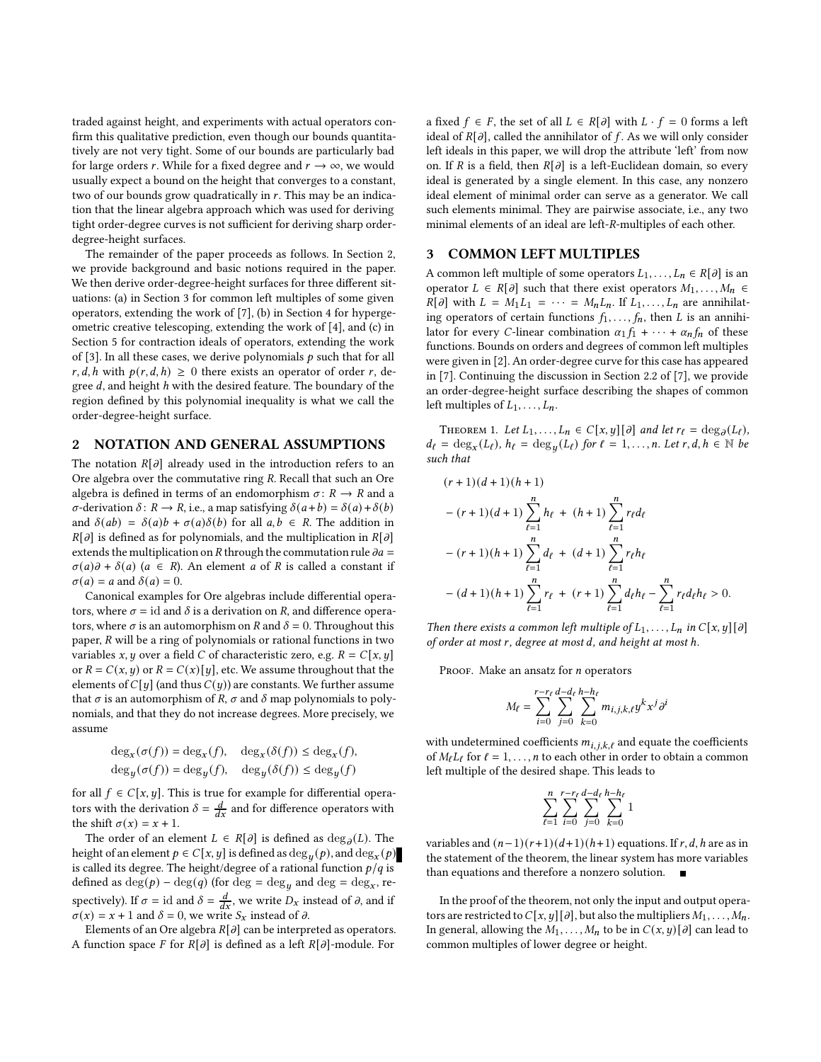traded against height, and experiments with actual operators confirm this qualitative prediction, even though our bounds quantitatively are not very tight. Some of our bounds are particularly bad for large orders *r*. While for a fixed degree and  $r \to \infty$ , we would usually expect a bound on the height that converges to a constant, two of our bounds grow quadratically in  $r$ . This may be an indication that the linear algebra approach which was used for deriving tight order-degree curves is not sufficient for deriving sharp orderdegree-height surfaces.

The remainder of the paper proceeds as follows. In Section [2,](#page-1-0) we provide background and basic notions required in the paper. We then derive order-degree-height surfaces for three different situations: (a) in Section [3](#page-1-1) for common left multiples of some given operators, extending the work of [\[7](#page-8-4)], (b) in Section [4](#page-2-0) for hypergeometric creative telescoping, extending the work of [\[4](#page-8-6)], and (c) in Section [5](#page-5-0) for contraction ideals of operators, extending the work of [\[3\]](#page-8-2). In all these cases, we derive polynomials  $p$  such that for all  $r, d, h$  with  $p(r, d, h) \geq 0$  there exists an operator of order r, degree  $d$ , and height  $h$  with the desired feature. The boundary of the region defined by this polynomial inequality is what we call the order-degree-height surface.

#### <span id="page-1-0"></span>2 NOTATION AND GENERAL ASSUMPTIONS

The notation  $R[\partial]$  already used in the introduction refers to an Ore algebra over the commutative ring  $R$ . Recall that such an Ore algebra is defined in terms of an endomorphism  $\sigma: R \to R$  and a  $\sigma$ -derivation  $\delta$ :  $R \to R$ , i.e., a map satisfying  $\delta(a+b) = \delta(a) + \delta(b)$ and  $\delta(ab) = \delta(a)b + \sigma(a)\delta(b)$  for all  $a, b \in R$ . The addition in  $R[\partial]$  is defined as for polynomials, and the multiplication in  $R[\partial]$ extends the multiplication on  $R$  through the commutation rule  $\partial a =$  $\sigma(a)\partial + \delta(a)$  ( $a \in R$ ). An element  $a$  of  $R$  is called a constant if  $\sigma(a) = a$  and  $\delta(a) = 0$ .

Canonical examples for Ore algebras include differential operators, where  $\sigma = id$  and  $\delta$  is a derivation on R, and difference operators, where  $\sigma$  is an automorphism on R and  $\delta = 0$ . Throughout this paper,  $R$  will be a ring of polynomials or rational functions in two variables *x*, *y* over a field *C* of characteristic zero, e.g.  $R = C[x, y]$ or  $R = C(x, y)$  or  $R = C(x)[y]$ , etc. We assume throughout that the elements of  $C[y]$  (and thus  $C(y)$ ) are constants. We further assume that  $\sigma$  is an automorphism of R,  $\sigma$  and  $\delta$  map polynomials to polynomials, and that they do not increase degrees. More precisely, we assume

$$
\deg_x(\sigma(f)) = \deg_x(f), \quad \deg_x(\delta(f)) \le \deg_x(f),
$$
  

$$
\deg_y(\sigma(f)) = \deg_y(f), \quad \deg_y(\delta(f)) \le \deg_y(f)
$$

for all  $f \in C[x, y]$ . This is true for example for differential operators with the derivation  $\delta = \frac{d}{dx}$  and for difference operators with the shift  $\sigma(x) = x + 1$ .

The order of an element  $L \in R[\partial]$  is defined as  $\deg_{\partial}(L)$ . The height of an element  $p \in C[x,y]$  is defined as  $\deg_y(p)$ , and  $\deg_x(p)$ is called its degree. The height/degree of a rational function  $p/q$  is defined as  $\deg(p) - \deg(q)$  (for  $\deg = \deg_y$  and  $\deg = \deg_x$ , respectively). If  $\sigma = id$  and  $\delta = \frac{d}{dx}$ , we write  $D_x$  instead of  $\partial$ , and if  $\sigma(x) = x + 1$  and  $\delta = 0$ , we write  $S_x$  instead of  $\partial$ .

Elements of an Ore algebra  $R[\partial]$  can be interpreted as operators. A function space F for  $R[\partial]$  is defined as a left  $R[\partial]$ -module. For

a fixed  $f \in F$ , the set of all  $L \in R[\partial]$  with  $L \cdot f = 0$  forms a left ideal of  $R[\partial]$ , called the annihilator of f. As we will only consider left ideals in this paper, we will drop the attribute 'left' from now on. If R is a field, then  $R[\partial]$  is a left-Euclidean domain, so every ideal is generated by a single element. In this case, any nonzero ideal element of minimal order can serve as a generator. We call such elements minimal. They are pairwise associate, i.e., any two minimal elements of an ideal are left-R-multiples of each other.

#### <span id="page-1-1"></span>3 COMMON LEFT MULTIPLES

A common left multiple of some operators  $L_1, \ldots, L_n \in R[\partial]$  is an operator  $L \in R[\partial]$  such that there exist operators  $M_1, \ldots, M_n \in$  $R[\partial]$  with  $L = M_1 L_1 = \cdots = M_n L_n$ . If  $L_1, \ldots, L_n$  are annihilating operators of certain functions  $f_1, \ldots, f_n$ , then L is an annihilator for every *C*-linear combination  $\alpha_1 f_1 + \cdots + \alpha_n f_n$  of these functions. Bounds on orders and degrees of common left multiples were given in [\[2](#page-8-7)]. An order-degree curve for this case has appeared in [\[7](#page-8-4)]. Continuing the discussion in Section 2.2 of [\[7\]](#page-8-4), we provide an order-degree-height surface describing the shapes of common left multiples of  $L_1, \ldots, L_n$ .

<span id="page-1-2"></span>THEOREM 1. Let  $L_1, \ldots, L_n \in C[x, y][\partial]$  and let  $r_\ell = \deg_\partial(L_\ell)$ ,  $d_{\ell} = \deg_x(L_{\ell}), h_{\ell} = \deg_y(L_{\ell})$  for  $\ell = 1, \ldots, n$ . Let  $r, d, h \in \mathbb{N}$  be such that

$$
(r+1)(d+1)(h+1)
$$
  

$$
-(r+1)(d+1)\sum_{\ell=1}^{n} h_{\ell} + (h+1)\sum_{\ell=1}^{n} r_{\ell}d_{\ell}
$$
  

$$
-(r+1)(h+1)\sum_{\ell=1}^{n} d_{\ell} + (d+1)\sum_{\ell=1}^{n} r_{\ell}h_{\ell}
$$
  

$$
-(d+1)(h+1)\sum_{\ell=1}^{n} r_{\ell} + (r+1)\sum_{\ell=1}^{n} d_{\ell}h_{\ell} - \sum_{\ell=1}^{n} r_{\ell}d_{\ell}h_{\ell} > 0.
$$

Then there exists a common left multiple of  $L_1, \ldots, L_n$  in  $C[x, y][\partial]$ of order at most r, degree at most d, and height at most h.

PROOF. Make an ansatz for  $n$  operators

$$
M_{\ell} = \sum_{i=0}^{r-r_{\ell}} \sum_{j=0}^{d-d_{\ell}} \sum_{k=0}^{h-h_{\ell}} m_{i,j,k,\ell} y^{k} x^{j} \partial^{i}
$$

with undetermined coefficients  $m_{i,j,k,\ell}$  and equate the coefficients of  $M_{\ell}L_{\ell}$  for  $\ell = 1, ..., n$  to each other in order to obtain a common left multiple of the desired shape. This leads to

$$
\sum_{\ell=1}^n \sum_{i=0}^{r-r_\ell} \sum_{j=0}^{d-d_\ell} \sum_{k=0}^{h-h_\ell} 1
$$

variables and  $(n-1)(r+1)(d+1)(h+1)$  equations. If r, d, h are as in the statement of the theorem, the linear system has more variables than equations and therefore a nonzero solution.

In the proof of the theorem, not only the input and output operators are restricted to  $C[x, y][\partial]$ , but also the multipliers  $M_1, \ldots, M_n$ . In general, allowing the  $M_1, \ldots, M_n$  to be in  $C(x, y)[\partial]$  can lead to common multiples of lower degree or height.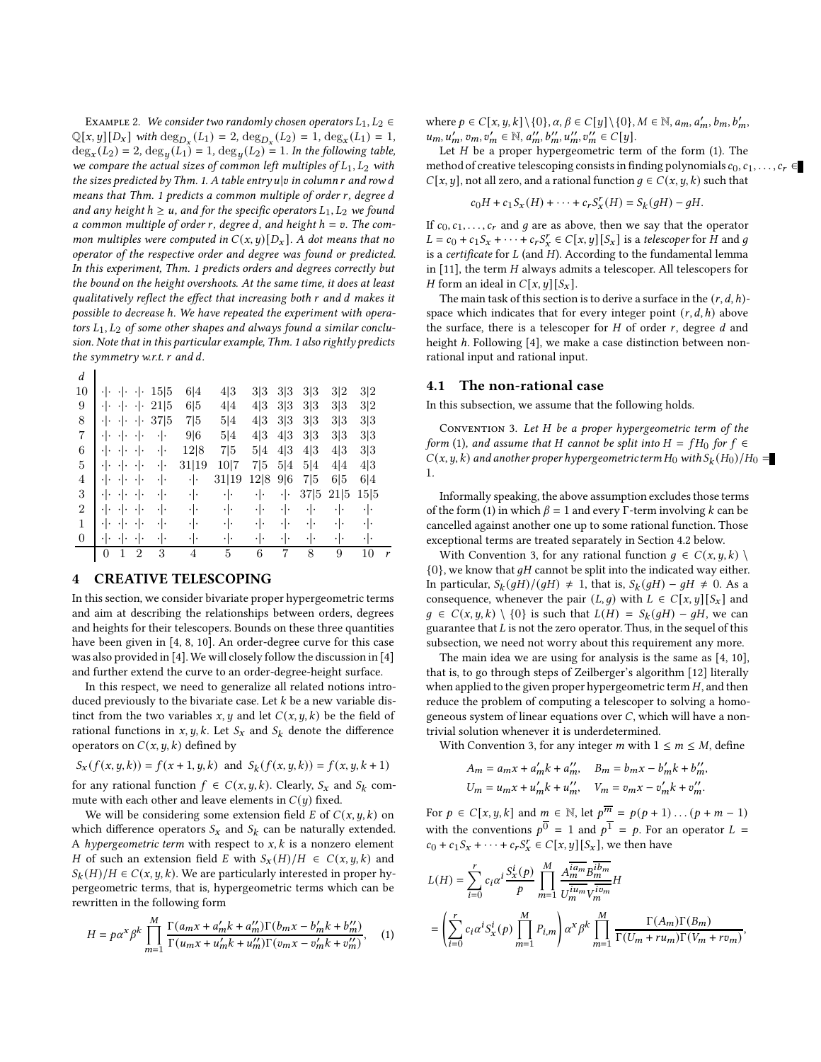EXAMPLE 2. We consider two randomly chosen operators  $L_1, L_2 \in$  $\mathbb{Q}[x, y][D_x]$  with  $\deg_{D_x}(L_1) = 2$ ,  $\deg_{D_x}(L_2) = 1$ ,  $\deg_x(L_1) = 1$ ,  $\deg_x(L_2) = 2$ ,  $\deg_y(L_1) = 1$ ,  $\deg_y(L_2) = 1$ . In the following table, we compare the actual sizes of common left multiples of  $L_1, L_2$  with the sizes predicted by Thm. [1.](#page-1-2) A table entry  $u|v$  in column  $r$  and row d means that Thm. [1](#page-1-2) predicts a common multiple of order  $r$ , degree  $d$ and any height  $h \ge u$ , and for the specific operators  $L_1, L_2$  we found a common multiple of order r, degree d, and height  $h = v$ . The common multiples were computed in  $C(x, y)[D_x]$ . A dot means that no operator of the respective order and degree was found or predicted. In this experiment, Thm. [1](#page-1-2) predicts orders and degrees correctly but the bound on the height overshoots. At the same time, it does at least qualitatively reflect the effect that increasing both  $r$  and  $d$  makes it possible to decrease ℎ. We have repeated the experiment with operators  $L_1, L_2$  of some other shapes and always found a similar conclusion. Note that in this particular example, Thm. [1](#page-1-2) also rightly predicts the symmetry w.r.t.  $r$  and  $d$ .

| d                |                                |                |      |       |       |      |     |      |      |      |   |
|------------------|--------------------------------|----------------|------|-------|-------|------|-----|------|------|------|---|
| 10               | ٠١.<br>٠١٠                     | ٠١٠            | 15 5 | 6 4   | 4 3   | 3 3  | 3 3 | 3 3  | 3 2  | 3 2  |   |
| 9                | $\cdot \cdot$<br>$\cdot \cdot$ | ٠ ۰            | 21 5 | 6 5   | 4 4   | 4 3  | 3 3 | 3 3  | 3 3  | 3 2  |   |
| 8                | $\cdot$ .<br>$\cdot \cdot$     | ٠ .            | 37 5 | 7 5   | 5 4   | 4 3  | 3 3 | 3 3  | 3 3  | 3 3  |   |
| 7                | ٠١.<br>٠١.                     | ٠١.            | ٠ .  | 9 6   | 5 4   | 4 3  | 4 3 | 3 3  | 3 3  | 3 3  |   |
| 6                | ٠١.<br>٠١.                     | ٠١.            | ٠١.  | 12 8  | 7 5   | 5 4  | 4 3 | 4 3  | 4 3  | 3 3  |   |
| 5                | ٠١.<br>٠١.                     | ٠١.            | ٠ .  | 31 19 | 10 7  | 7 5  | 5 4 | 5 4  | 4 4  | 4 3  |   |
| 4                | ٠١.<br>٠١.                     | ٠١.            | ٠ .  | ٠ .   | 31 19 | 12 8 | 9 6 | 7 5  | 6 5  | 6 4  |   |
| 3                | $\cdot$ $\vert$ .<br>٠ .       | ٠ .            | ٠ .  | ٠ŀ    | ٠ .   | ٠ .  | ٠ . | 37 5 | 21 5 | 15 5 |   |
| $\overline{2}$   | $\cdot$ .<br>٠١.               | .  .           | ٠١.  | ٠ .   | ٠١.   | ٠ .  | ٠١. | ٠ .  | ٠١.  | ٠ .  |   |
| 1                | ٠١.<br>٠١.                     | ٠١.            | ٠١.  | ٠ .   | ٠١.   | ٠ ۰  | ٠١. | ٠١.  | ٠١.  | ٠ .  |   |
| $\boldsymbol{0}$ | ٠١٠<br>٠.                      | ٠١.            | ٠١٠  | ٠ .   | ٠Ι.   | ٠١.  | ٠١٠ | ٠١٠  | ٠١.  | ٠ .  |   |
|                  | 0                              | $\overline{2}$ | 3    | 4     | 5     | 6    | 7   | 8    | 9    | 10   | Y |
|                  |                                |                |      |       |       |      |     |      |      |      |   |

# <span id="page-2-0"></span>4 CREATIVE TELESCOPING

In this section, we consider bivariate proper hypergeometric terms and aim at describing the relationships between orders, degrees and heights for their telescopers. Bounds on these three quantities have been given in [\[4,](#page-8-6) [8](#page-8-5), [10](#page-8-8)]. An order-degree curve for this case was also provided in [\[4](#page-8-6)].We will closely follow the discussion in [\[4\]](#page-8-6) and further extend the curve to an order-degree-height surface.

In this respect, we need to generalize all related notions introduced previously to the bivariate case. Let  $k$  be a new variable distinct from the two variables  $x, y$  and let  $C(x, y, k)$  be the field of rational functions in  $x, y, k$ . Let  $S_x$  and  $S_k$  denote the difference operators on  $C(x, y, k)$  defined by

$$
S_x(f(x, y, k)) = f(x + 1, y, k) \text{ and } S_k(f(x, y, k)) = f(x, y, k + 1)
$$

for any rational function  $f \in C(x, y, k)$ . Clearly,  $S_x$  and  $S_k$  commute with each other and leave elements in  $C(y)$  fixed.

We will be considering some extension field  $E$  of  $C(x, y, k)$  on which difference operators  $S_x$  and  $S_k$  can be naturally extended. A hypergeometric term with respect to  $x, k$  is a nonzero element H of such an extension field E with  $S_x(H)/H \in C(x, y, k)$  and  $S_k(H)/H \in C(x, y, k)$ . We are particularly interested in proper hypergeometric terms, that is, hypergeometric terms which can be rewritten in the following form

<span id="page-2-1"></span>
$$
H = p\alpha^{x} \beta^{k} \prod_{m=1}^{M} \frac{\Gamma(a_{m}x + a'_{m}k + a''_{m})\Gamma(b_{m}x - b'_{m}k + b''_{m})}{\Gamma(a_{m}x + u'_{m}k + u''_{m})\Gamma(b_{m}x - v'_{m}k + v''_{m})}, \quad (1)
$$

where  $p \in C[x, y, k] \setminus \{0\}, \alpha, \beta \in C[y] \setminus \{0\}, M \in \mathbb{N}, a_m, a'_m, b_m, b'_m$ ,  $u_m, u'_m, v_m, v'_m \in \mathbb{N}, a''_m, b''_m, u''_m, v''_m \in C[y].$ 

Let  $H$  be a proper hypergeometric term of the form [\(1\)](#page-2-1). The method of creative telescoping consists in finding polynomials  $c_0, c_1, \ldots, c_r \in \mathbb{R}$  $C[x, y]$ , not all zero, and a rational function  $q \in C(x, y, k)$  such that

$$
c_0H + c_1S_x(H) + \cdots + c_rS_x^r(H) = S_k(gH) - gH.
$$

If  $c_0, c_1, \ldots, c_r$  and g are as above, then we say that the operator  $L = c_0 + c_1 S_x + \cdots + c_r S_x^r \in C[x, y][S_x]$  is a telescoper for H and g is a certificate for  $L$  (and  $H$ ). According to the fundamental lemma in  $[11]$ , the term  $H$  always admits a telescoper. All telescopers for *H* form an ideal in  $C[x, y][S_x]$ .

The main task of this section is to derive a surface in the  $(r, d, h)$ space which indicates that for every integer point  $(r, d, h)$  above the surface, there is a telescoper for  $H$  of order  $r$ , degree  $d$  and height *h*. Following [\[4](#page-8-6)], we make a case distinction between nonrational input and rational input.

#### 4.1 The non-rational case

In this subsection, we assume that the following holds.

<span id="page-2-2"></span>CONVENTION 3. Let H be a proper hypergeometric term of the form [\(1\)](#page-2-1), and assume that H cannot be split into  $H = fH_0$  for  $f \in$  $C(x, y, k)$  and another proper hypergeometric term  $H_0$  with  $S_k(H_0)/H_0 =$ 1.

Informally speaking, the above assumption excludes those terms of the form [\(1\)](#page-2-1) in which  $\beta = 1$  and every Γ-term involving k can be cancelled against another one up to some rational function. Those exceptional terms are treated separately in Section [4.2](#page-4-0) below.

With Convention [3,](#page-2-2) for any rational function  $q \in C(x, y, k)$  ${0}$ , we know that  $gH$  cannot be split into the indicated way either. In particular,  $S_k(gH)/(gH) \neq 1$ , that is,  $S_k(gH) - gH \neq 0$ . As a consequence, whenever the pair  $(L, q)$  with  $L \in C[x, y][S_x]$  and  $g \in C(x, y, k) \setminus \{0\}$  is such that  $L(H) = S_k(gH) - gH$ , we can guarantee that  $L$  is not the zero operator. Thus, in the sequel of this subsection, we need not worry about this requirement any more.

The main idea we are using for analysis is the same as [\[4](#page-8-6), [10](#page-8-8)], that is, to go through steps of Zeilberger's algorithm [\[12\]](#page-8-10) literally when applied to the given proper hypergeometric term  $H$ , and then reduce the problem of computing a telescoper to solving a homogeneous system of linear equations over  $C$ , which will have a nontrivial solution whenever it is underdetermined.

With Convention [3,](#page-2-2) for any integer  $m$  with  $1 \le m \le M$ , define

$$
A_m = a_m x + a'_m k + a''_m, \quad B_m = b_m x - b'_m k + b''_m,
$$
  

$$
U_m = u_m x + u'_m k + u''_m, \quad V_m = v_m x - v'_m k + v''_m.
$$

For  $p \in C[x, y, k]$  and  $m \in \mathbb{N}$ , let  $p^{\overline{m}} = p(p + 1) \dots (p + m - 1)$ with the conventions  $p^0 = 1$  and  $p^1 = p$ . For an operator  $L =$  $c_0 + c_1 S_x + \cdots + c_r S_x^r \in C[x, y][S_x]$ , we then have

$$
\begin{split} &L(H)=\sum_{i=0}^{r}c_{i}\alpha^{i}\frac{S_{x}^{i}(\boldsymbol{p})}{\boldsymbol{p}}\prod_{m=1}^{M}\frac{A_{m}^{\overline{ia_{m}}}B_{m}^{\overline{ib_{m}}} }{U_{m}^{\overline{iu_{m}}}V_{m}^{\overline{iv_{m}}} }H \\ &=\left(\sum_{i=0}^{r}c_{i}\alpha^{i}S_{x}^{i}(\boldsymbol{p})\prod_{m=1}^{M}P_{i,m}\right)\alpha^{x}\beta^{k}\prod_{m=1}^{M}\frac{\Gamma(A_{m})\Gamma(B_{m})}{\Gamma(U_{m}+ru_{m})\Gamma(V_{m}+rv_{m})}, \end{split}
$$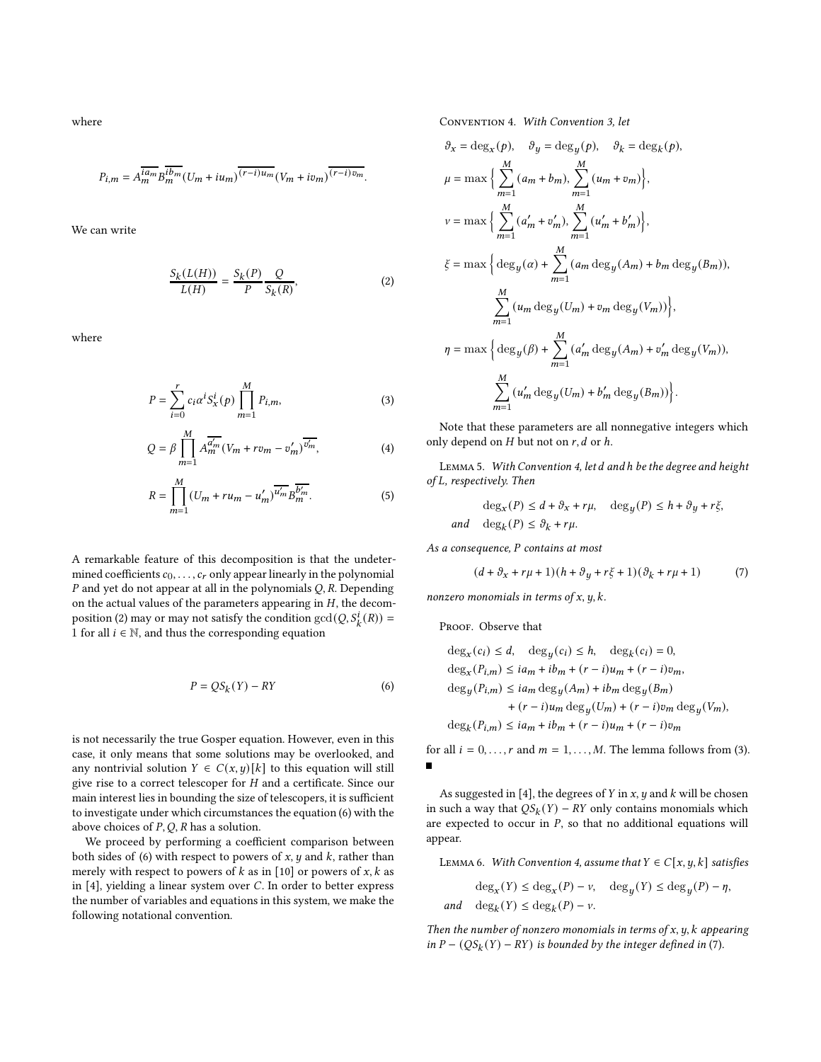where

$$
P_{i,m}=A_m^{\overline{ia_m}}B_m^{\overline{ib_m}}(U_m+iu_m)^{\overline{(r-i)u_m}}(V_m+iv_m)^{\overline{(r-i)v_m}}.
$$

We can write

<span id="page-3-0"></span>
$$
\frac{S_k(L(H))}{L(H)} = \frac{S_k(P)}{P} \frac{Q}{S_k(R)},
$$
\n(2)

where

$$
P = \sum_{i=0}^{r} c_i \alpha^i S_x^i(p) \prod_{m=1}^{M} P_{i,m},
$$
 (3)

$$
Q = \beta \prod_{m=1}^{M} A_m^{\overline{a'_m}} (V_m + r v_m - v'_m)^{\overline{v'_m}}, \tag{4}
$$

$$
R = \prod_{m=1}^{M} (U_m + ru_m - u'_m)^{\overline{u'_m}} B_m^{\overline{b'_m}}.
$$
 (5)

A remarkable feature of this decomposition is that the undetermined coefficients  $c_0, \ldots, c_r$  only appear linearly in the polynomial  $P$  and yet do not appear at all in the polynomials  $Q$ ,  $R$ . Depending on the actual values of the parameters appearing in  $H$ , the decom-position [\(2\)](#page-3-0) may or may not satisfy the condition  $gcd(Q, S_k^i(R)) =$ 1 for all  $i \in \mathbb{N}$ , and thus the corresponding equation

<span id="page-3-1"></span>
$$
P = QS_k(Y) - RY \tag{6}
$$

is not necessarily the true Gosper equation. However, even in this case, it only means that some solutions may be overlooked, and any nontrivial solution  $Y \in C(x, y)[k]$  to this equation will still give rise to a correct telescoper for  $H$  and a certificate. Since our main interest lies in bounding the size of telescopers, it is sufficient to investigate under which circumstances the equation [\(6\)](#page-3-1) with the above choices of  $P$ ,  $Q$ ,  $R$  has a solution.

We proceed by performing a coefficient comparison between both sides of [\(6\)](#page-3-1) with respect to powers of  $x$ ,  $y$  and  $k$ , rather than merely with respect to powers of  $k$  as in [\[10\]](#page-8-8) or powers of  $x$ ,  $k$  as in  $[4]$ , yielding a linear system over  $C$ . In order to better express the number of variables and equations in this system, we make the following notational convention.

<span id="page-3-2"></span>Convention 4. With Convention [3,](#page-2-2) let  $\mathcal{L}_{\text{max}} = \mathcal{L}_{\text{max}} - \mathcal{L}_{\text{max}}$ 

$$
\vartheta_x = \deg_x(p), \quad \vartheta_y = \deg_y(p), \quad \vartheta_k = \deg_k(p),
$$
  
\n
$$
\mu = \max \Big\{ \sum_{m=1}^M (a_m + b_m), \sum_{m=1}^M (u_m + v_m) \Big\},
$$
  
\n
$$
v = \max \Big\{ \sum_{m=1}^M (a'_m + v'_m), \sum_{m=1}^M (u'_m + b'_m) \Big\},
$$
  
\n
$$
\xi = \max \Big\{ \deg_y(\alpha) + \sum_{m=1}^M (a_m \deg_y(A_m) + b_m \deg_y(B_m)),
$$
  
\n
$$
\sum_{m=1}^M (u_m \deg_y(U_m) + v_m \deg_y(V_m)) \Big\},
$$
  
\n
$$
\eta = \max \Big\{ \deg_y(\beta) + \sum_{m=1}^M (a'_m \deg_y(A_m) + v'_m \deg_y(V_m)),
$$
  
\n
$$
\sum_{m=1}^M (u'_m \deg_y(U_m) + b'_m \deg_y(B_m)) \Big\}.
$$

<span id="page-3-5"></span><span id="page-3-3"></span>Note that these parameters are all nonnegative integers which only depend on  $H$  but not on  $r$ ,  $d$  or  $h$ .

<span id="page-3-7"></span><span id="page-3-6"></span>LEMMA 5. With Convention [4,](#page-3-2) let d and h be the degree and height of L, respectively. Then

$$
\deg_x(P) \leq d + \vartheta_x + r\mu, \quad \deg_y(P) \leq h + \vartheta_y + r\xi,
$$
  
and 
$$
\deg_k(P) \leq \vartheta_k + r\mu.
$$

As a consequence,  $P$  contains at most

<span id="page-3-4"></span>
$$
(d + \partial_x + r\mu + 1)(h + \partial_y + r\xi + 1)(\partial_k + r\mu + 1)
$$
 (7)

nonzero monomials in terms of  $x, y, k$ .

PROOF. Observe that

$$
\begin{aligned} \deg_x(c_i)&\leq d,\quad \deg_y(c_i)\leq h,\quad \deg_k(c_i)=0,\\ \deg_x(P_{i,m})&\leq i a_m+ib_m+(r-i)u_m+(r-i)v_m,\\ \deg_y(P_{i,m})&\leq i a_m\deg_y(A_m)+ib_m\deg_y(B_m)\\ &+(r-i)u_m\deg_y(U_m)+(r-i)v_m\deg_y(V_m),\\ \deg_k(P_{i,m})&\leq i a_m+ib_m+(r-i)u_m+(r-i)v_m \end{aligned}
$$

for all  $i = 0, \ldots, r$  and  $m = 1, \ldots, M$ . The lemma follows from [\(3\)](#page-3-3).  $\blacksquare$ 

As suggested in [\[4\]](#page-8-6), the degrees of  $Y$  in  $x$ ,  $y$  and  $k$  will be chosen in such a way that  $QS_k(Y) - RY$  only contains monomials which are expected to occur in  $P$ , so that no additional equations will appear.

<span id="page-3-8"></span>LEMMA 6. With Convention [4,](#page-3-2) assume that  $Y \in C[x, y, k]$  satisfies

$$
\deg_x(Y) \le \deg_x(P) - \nu, \quad \deg_y(Y) \le \deg_y(P) - \eta,
$$
  
and 
$$
\deg_k(Y) \le \deg_k(P) - \nu.
$$

Then the number of nonzero monomials in terms of  $x, y, k$  appearing in  $P - (QS_k(Y) - RY)$  is bounded by the integer defined in [\(7\)](#page-3-4).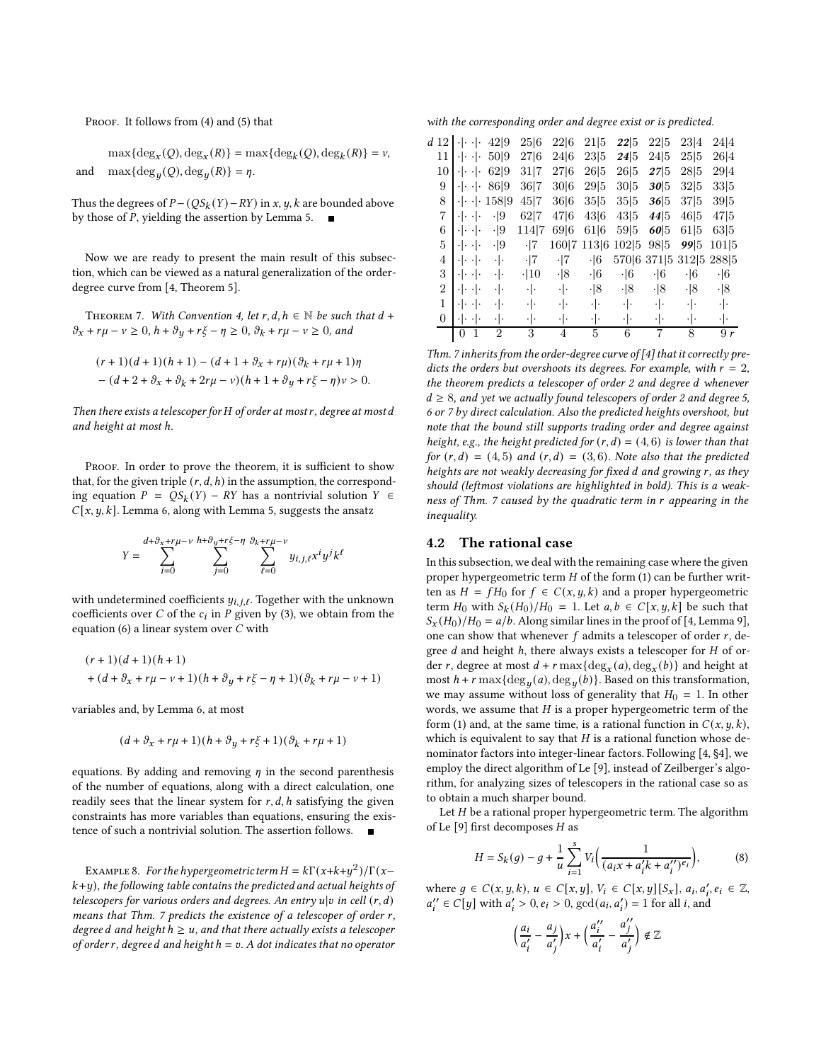PROOF. It follows from [\(4\)](#page-3-5) and [\(5\)](#page-3-6) that

 $\max\{\text{deg}_x(Q),\text{deg}_x(R)\} = \max\{\text{deg}_k(Q),\text{deg}_k(R)\} = v,$ and  $\max{\deg_y(Q), \deg_y(R)} = \eta$ .

Thus the degrees of  $P - (QS_k(Y) - RY)$  in x, y, k are bounded above by those of *P*, yielding the assertion by Lemma [5.](#page-3-7)  $\blacksquare$ 

Now we are ready to present the main result of this subsection, which can be viewed as a natural generalization of the orderdegree curve from [\[4](#page-8-6), Theorem 5].

<span id="page-4-1"></span>THEOREM 7. With Convention [4,](#page-3-2) let r, d,  $h \in \mathbb{N}$  be such that  $d +$  $\vartheta_x + r\mu - \nu \geq 0$ ,  $h + \vartheta_y + r\xi - \eta \geq 0$ ,  $\vartheta_k + r\mu - \nu \geq 0$ , and

$$
\begin{aligned} &(r+1)(d+1)(h+1)-(d+1+\vartheta_x+r\mu)(\vartheta_k+r\mu+1)\eta\\ &-(d+2+\vartheta_x+\vartheta_k+2r\mu-\nu)(h+1+\vartheta_y+r\xi-\eta)\nu>0. \end{aligned}
$$

Then there exists a telescoper for  $H$  of order at most  $r$ , degree at most  $d$ and height at most ℎ.

PROOF. In order to prove the theorem, it is sufficient to show that, for the given triple  $(r, d, h)$  in the assumption, the corresponding equation  $P = QS_k(Y) - RY$  has a nontrivial solution  $Y \in$  $C[x, y, k]$ . Lemma [6,](#page-3-8) along with Lemma [5,](#page-3-7) suggests the ansatz

$$
Y = \sum_{i=0}^{d+\vartheta_x + r\mu - \nu} \sum_{j=0}^{h+\vartheta_y + r\xi - \eta} \sum_{\ell=0}^{\vartheta_k + r\mu - \nu} y_{i,j,\ell} x^i y^j k^{\ell}
$$

with undetermined coefficients  $y_{i,j,\ell}$ . Together with the unknown coefficients over  $C$  of the  $c_i$  in  $P$  given by [\(3\)](#page-3-3), we obtain from the equation [\(6\)](#page-3-1) a linear system over  $C$  with

$$
\begin{aligned} &(r+1)(d+1)(h+1)\\ &+(d+\vartheta_x+r\mu-\nu+1)(h+\vartheta_y+r\xi-\eta+1)(\vartheta_k+r\mu-\nu+1)\end{aligned}
$$

variables and, by Lemma [6,](#page-3-8) at most

$$
(d+\partial_x+r\mu+1)(h+\partial_y+r\xi+1)(\partial_k+r\mu+1)
$$

equations. By adding and removing  $\eta$  in the second parenthesis of the number of equations, along with a direct calculation, one readily sees that the linear system for  $r, d, h$  satisfying the given constraints has more variables than equations, ensuring the existence of such a nontrivial solution. The assertion follows.

<span id="page-4-3"></span>EXAMPLE 8. For the hypergeometric term  $H = k\Gamma(x+k+y^2)/\Gamma(x-\mathbb{I})$  $k+y$ ), the following table contains the predicted and actual heights of telescopers for various orders and degrees. An entry  $u|v$  in cell  $(r, d)$ means that Thm. [7](#page-4-1) predicts the existence of a telescoper of order r, degree d and height  $h \ge u$ , and that there actually exists a telescoper of order r, degree d and height  $h = v$ . A dot indicates that no operator

with the corresponding order and degree exist or is predicted.

| d 12           |                                    | 42 9       | 25 6        | 22 6          | 21 5          | 22 5          | 22 5       | 23 4                    | 24 4       |
|----------------|------------------------------------|------------|-------------|---------------|---------------|---------------|------------|-------------------------|------------|
| 11             | ۱۰ - ۱۰                            | 50 9       | 27 6        | 24 6          | 23 5          | 24 5          | 24 5       | 25 5                    | 26 4       |
| 10             | ٠١.<br>$\cdot$ .                   | 62 9       | 31 7        | 27 6          | 26 5          | 26 5          | 275        | 28 5                    | 29 4       |
| 9              | ٠١.<br>$\cdot$ .                   | 86 9       | 36 7        | 30 6          | 29 5          | 30 5          | 30 5       | 32 5                    | 33 5       |
| 8              | $\cdot \cdot$<br>$\cdot \cdot$     | 158 9      | 45 7        | 36 6          | 35 5          | 35 5          | 36 5       | 37 5                    | 39 5       |
| 7              | $\cdot$ $\cdot$ $\cdot$ $\cdot$    | $\cdot  9$ | 62 7        | 47 6          | 43 6          | 43 5          | 44 5       | 46 5                    | 47 5       |
| 6              | ٠١.<br>$\cdot \cdot$               | $\cdot  9$ | 114 7       | 69 6          | 61 6          | 59 5          | 60 5       | 61 5                    | 63 5       |
| 5              | $\cdot$ $\cdot$<br>٠١.             | $\cdot$  9 | $\cdot$  7  | 160 7         | 113 6         | 102 5         | 98 5       | 99 5                    | 101 5      |
| 4              | $\cdot$ .<br>$\cdot$ .             | ٠ .        | -17         | -17           | $\cdot$ 6     |               |            | 570 6 371 5 312 5 288 5 |            |
| 3              | $\cdot$ .<br>٠١.                   | ٠ .        | $\cdot$  10 | $\cdot$  8    | $\cdot$ 6     | $\cdot$  6    | $\cdot$  6 | $\cdot$ 6               | $\cdot$ 6  |
| $\overline{2}$ | $\cdot$ $\cdot$<br>$\cdot$ $\cdot$ | ٠١.        | ٠ .         | $\cdot \cdot$ | $\cdot$  8    | $\cdot$  8    | $\cdot$  8 | $\cdot$  8              | $\cdot$  8 |
| 1              | ٠١٠<br>$\cdot$ .                   | ٠١.        | ٠١.         | ٠ ۰           | $\cdot \cdot$ | $\cdot \cdot$ | ٠ .        | ٠ .                     | ٠ .        |
| $\theta$       | ٠١.<br>٠١.                         | ٠١.        | ٠١.         | ٠ .           | ٠ .           | ٠ .           | ٠ .        | ٠ .                     | ٠ .        |
|                | 0<br>1                             | 2          | 3           | 4             | 5             | 6             | 7          | 8                       | 9r         |

Thm. [7](#page-4-1) inherits from the order-degree curve of [\[4](#page-8-6)] that it correctly predicts the orders but overshoots its degrees. For example, with  $r = 2$ , the theorem predicts a telescoper of order 2 and degree d whenever  $d \geq 8$ , and yet we actually found telescopers of order 2 and degree 5, 6 or 7 by direct calculation. Also the predicted heights overshoot, but note that the bound still supports trading order and degree against height, e.g., the height predicted for  $(r, d) = (4, 6)$  is lower than that for  $(r, d) = (4, 5)$  and  $(r, d) = (3, 6)$ . Note also that the predicted heights are not weakly decreasing for fixed  $d$  and growing  $r$ , as they should (leftmost violations are highlighted in bold). This is a weak-ness of Thm. [7](#page-4-1) caused by the quadratic term in r appearing in the inequality.

#### <span id="page-4-0"></span>4.2 The rational case

In this subsection, we deal with the remaining case where the given proper hypergeometric term  $H$  of the form [\(1\)](#page-2-1) can be further written as  $H = fH_0$  for  $f \in C(x, y, k)$  and a proper hypergeometric term  $H_0$  with  $S_k(H_0)/H_0 = 1$ . Let  $a, b \in C[x, y, k]$  be such that  $S_x(H_0)/H_0 = a/b$ . Along similar lines in the proof of [\[4](#page-8-6), Lemma 9], one can show that whenever  $f$  admits a telescoper of order  $r$ , degree  $d$  and height  $h$ , there always exists a telescoper for  $H$  of order *r*, degree at most  $d + r \max\{\deg_x(a), \deg_x(b)\}$  and height at most  $h + r \max\{\deg_y(a), \deg_y(b)\}$ . Based on this transformation, we may assume without loss of generality that  $H_0 = 1$ . In other words, we assume that  $H$  is a proper hypergeometric term of the form [\(1\)](#page-2-1) and, at the same time, is a rational function in  $C(x, y, k)$ , which is equivalent to say that  $H$  is a rational function whose denominator factors into integer-linear factors. Following [\[4](#page-8-6), §4], we employ the direct algorithm of Le [\[9](#page-8-11)], instead of Zeilberger's algorithm, for analyzing sizes of telescopers in the rational case so as to obtain a much sharper bound.

Let  $H$  be a rational proper hypergeometric term. The algorithm of Le  $[9]$  first decomposes H as

<span id="page-4-2"></span>
$$
H = S_k(g) - g + \frac{1}{u} \sum_{i=1}^{s} V_i \left( \frac{1}{(a_i x + a'_i k + a''_i)^{e_i}} \right),
$$
 (8)

where  $g \in C(x, y, k), u \in C[x, y], V_i \in C[x, y][S_x], a_i, a'_i, e_i \in \mathbb{Z},$  $a''_i \in C[y]$  with  $a'_i > 0, e_i > 0$ ,  $\gcd(a_i, a'_i) = 1$  for all *i*, and

$$
\left(\frac{a_i}{a'_i} - \frac{a_j}{a'_j}\right)x + \left(\frac{a''_i}{a'_i} - \frac{a''_j}{a'_j}\right) \notin \mathbb{Z}
$$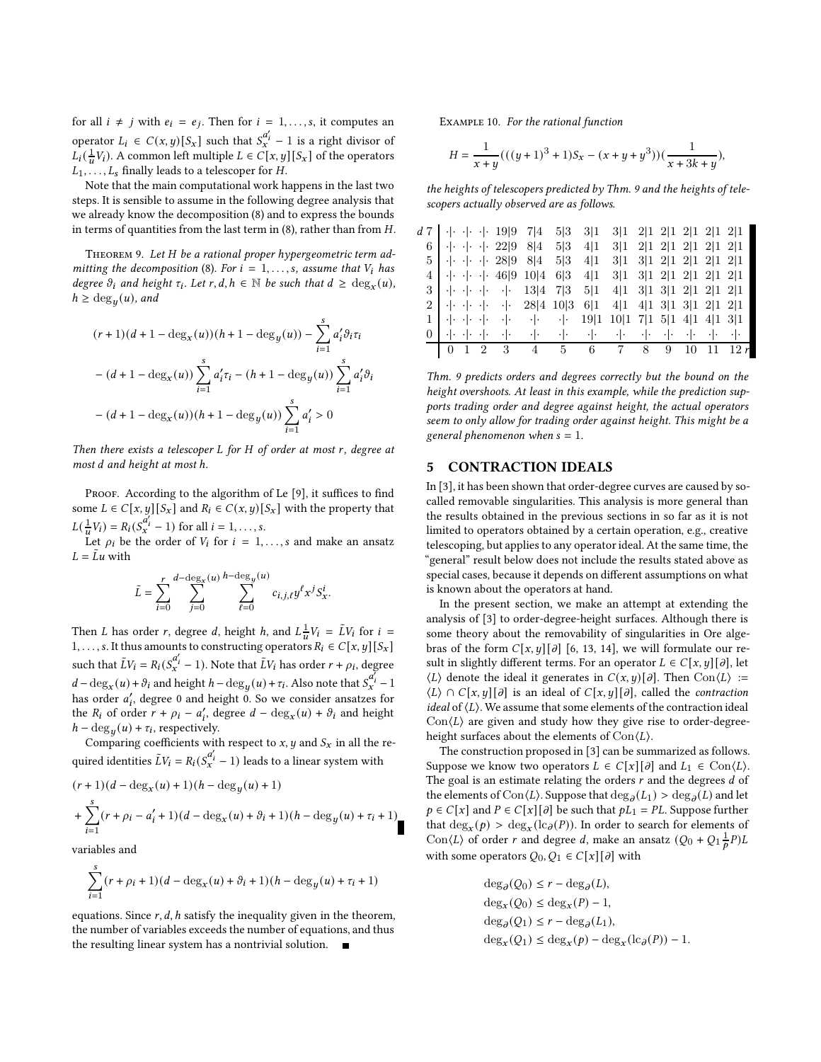for all  $i \neq j$  with  $e_i = e_j$ . Then for  $i = 1, ..., s$ , it computes an operator  $L_i \in C(x, y)[S_x]$  such that  $S_x^{a_i'} - 1$  is a right divisor of  $L_i(\frac{1}{u}V_i)$ . A common left multiple  $L \in C[x, y][S_x]$  of the operators  $L_1, \ldots, L_s$  finally leads to a telescoper for  $H$ .

Note that the main computational work happens in the last two steps. It is sensible to assume in the following degree analysis that we already know the decomposition [\(8\)](#page-4-2) and to express the bounds in terms of quantities from the last term in [\(8\)](#page-4-2), rather than from  $H$ .

<span id="page-5-1"></span>THEOREM 9. Let H be a rational proper hypergeometric term ad-mitting the decomposition [\(8\)](#page-4-2). For  $i = 1, \ldots, s$ , assume that  $V_i$  has degree  $\vartheta_i$  and height  $\tau_i$ . Let  $r, d, h \in \mathbb{N}$  be such that  $d \geq \deg_x(u)$ ,  $h \ge \deg_y(u)$ , and

$$
\begin{aligned} &(r+1)(d+1-\deg_x(u))(h+1-\deg_y(u))-\sum_{i=1}^s a_i'\partial_i\tau_i\\ &-(d+1-\deg_x(u))\sum_{i=1}^s a_i'\tau_i-(h+1-\deg_y(u))\sum_{i=1}^s a_i'\partial_i\\ &-(d+1-\deg_x(u))(h+1-\deg_y(u))\sum_{i=1}^s a_i' > 0 \end{aligned}
$$

Then there exists a telescoper  $L$  for  $H$  of order at most  $r$ , degree at most d and height at most h.

PROOF. According to the algorithm of Le [\[9\]](#page-8-11), it suffices to find some  $L \in C[x, y][S_x]$  and  $R_i \in C(x, y)[S_x]$  with the property that  $L(\frac{1}{u}V_i) = R_i(S_x^{a'_i} - 1)$  for all  $i = 1, ..., s$ .

Let  $\rho_i$  be the order of  $V_i$  for  $i = 1, \ldots, s$  and make an ansatz  $L = \tilde{L}u$  with

$$
\tilde{L} = \sum_{i=0}^{r} \sum_{j=0}^{d-\deg_{X}(u)} \sum_{\ell=0}^{h-\deg_{Y}(u)} c_{i,j,\ell} y^{\ell} x^{j} S_{x}^{i}.
$$

Then *L* has order *r*, degree *d*, height *h*, and  $L^{\frac{1}{u}}V_i = \tilde{L}V_i$  for  $i =$ 1, ..., s. It thus amounts to constructing operators  $R_i \in C[x, y][S_x]$ such that  $\tilde{L}V_i = R_i(S_x^{\alpha'_i} - 1)$ . Note that  $\tilde{L}V_i$  has order  $r + \rho_i$ , degree  $d-\deg_x(u)+\vartheta_i$  and height  $h-\deg_y(u)+\tau_i$ . Also note that  $S_x^{\alpha_i}-1$ has order  $a'_i$ , degree 0 and height 0. So we consider ansatzes for the  $R_i$  of order  $r + \rho_i - a'_i$ , degree  $d - \deg_x(u) + \vartheta_i$  and height  $h - \deg_y(u) + \tau_i$ , respectively.

Comparing coefficients with respect to  $x, y$  and  $S_x$  in all the required identities  $\tilde{L}V_i = R_i(S_x^{a'_i} - 1)$  leads to a linear system with

$$
\begin{aligned} &(r+1)(d-\deg_x(u)+1)(h-\deg_y(u)+1)\\ &+\sum_{i=1}^s (r+\rho_i-a_i'+1)(d-\deg_x(u)+\partial_i+1)(h-\deg_y(u)+\tau_i+1) \end{aligned}
$$

variables and

$$
\sum_{i=1}^s (r+\rho_i+1)(d-\deg_x(u)+\vartheta_i+1)(h-\deg_y(u)+\tau_i+1)
$$

equations. Since  $r$ ,  $d$ ,  $h$  satisfy the inequality given in the theorem, the number of variables exceeds the number of equations, and thus the resulting linear system has a nontrivial solution.

Example 10. For the rational function

$$
H = \frac{1}{x+y}(((y+1)^3+1)S_x - (x+y+y^3))(\frac{1}{x+3k+y}),
$$

the heights of telescopers predicted by Thm. [9](#page-5-1) and the heights of telescopers actually observed are as follows.

|  |  | $d \space 7$   $\cdot \mid \cdot \mid \cdot \mid \cdot 19 \mid 9 \mid 7 \mid 4 \mid 5 \mid 3 \mid 3 \mid 1$                                                                                                                                                                                                                                                                                                                                                                                                                                                                                        |  | $3 1 \t2 1 \t2 1 \t2 1 \t2 1 \t2 1$ |  |  |  |
|--|--|----------------------------------------------------------------------------------------------------------------------------------------------------------------------------------------------------------------------------------------------------------------------------------------------------------------------------------------------------------------------------------------------------------------------------------------------------------------------------------------------------------------------------------------------------------------------------------------------------|--|-------------------------------------|--|--|--|
|  |  | 6   $\cdot$   $\cdot$   $\cdot$   22 9 8 4 5 3 4 1                                                                                                                                                                                                                                                                                                                                                                                                                                                                                                                                                 |  | $3 1 \t2 1 \t2 1 \t2 1 \t2 1 \t2 1$ |  |  |  |
|  |  | $5 \cdot   \cdot   \cdot   \cdot   \cdot 28   9 \cdot 8   4 \cdot 5   3 \cdot 4   1$                                                                                                                                                                                                                                                                                                                                                                                                                                                                                                               |  | $3 1 \t3 1 \t2 1 \t2 1 \t2 1 \t2 1$ |  |  |  |
|  |  | $4 \cdot \cdot \cdot \cdot \cdot \cdot 46 9 \cdot 10 4 \cdot 6 3 \cdot 4 1$                                                                                                                                                                                                                                                                                                                                                                                                                                                                                                                        |  | $3 1 \t3 1 \t2 1 \t2 1 \t2 1 \t2 1$ |  |  |  |
|  |  | $3 \mid \cdot   \cdot \cdot   \cdot \cdot   \cdot 13 \mid 47 \mid 351 \mid 411 \mid 311 \mid 311 \mid 211 \mid 211$                                                                                                                                                                                                                                                                                                                                                                                                                                                                                |  |                                     |  |  |  |
|  |  | $2 \mid \cdot \mid \cdot \mid \cdot \mid \cdot \mid \cdot$ 28 4 10 3 6 1 4 1 4 1 3 1 3 1 2 1 2 1                                                                                                                                                                                                                                                                                                                                                                                                                                                                                                   |  |                                     |  |  |  |
|  |  | $1 \cdot   \cdot   \cdot   \cdot  $ $  \cdot   \cdot   \cdot  $ $  \cdot   \cdot  $ $  \cdot   \cdot  $ $  \cdot   \cdot   \cdot  $ $  \cdot   \cdot   \cdot   \cdot  $ $  \cdot   \cdot   \cdot   \cdot  $ $  \cdot   \cdot   \cdot   \cdot   \cdot  $ $  \cdot   \cdot   \cdot   \cdot   \cdot  $                                                                                                                                                                                                                                                                                                |  |                                     |  |  |  |
|  |  | $0\parallel\cdot\left\Vert \cdot\right\Vert +\cdot\left\Vert \cdot\right\Vert +\cdot\left\Vert \cdot\right\Vert +\cdot\left\Vert \cdot\right\Vert +\cdot\left\Vert \cdot\right\Vert +\cdot\left\Vert \cdot\right\Vert +\cdot\left\Vert \cdot\right\Vert +\cdot\left\Vert \cdot\right\Vert +\cdot\left\Vert \cdot\right\Vert +\cdot\left\Vert \cdot\right\Vert +\cdot\left\Vert \cdot\right\Vert +\cdot\left\Vert \cdot\right\Vert +\cdot\left\Vert \cdot\right\Vert +\cdot\left\Vert \cdot\right\Vert +\cdot\left\Vert \cdot\right\Vert +\cdot\left\Vert \cdot\right\Vert +\cdot\left\Vert \cdot\$ |  |                                     |  |  |  |
|  |  |                                                                                                                                                                                                                                                                                                                                                                                                                                                                                                                                                                                                    |  |                                     |  |  |  |

Thm. [9](#page-5-1) predicts orders and degrees correctly but the bound on the height overshoots. At least in this example, while the prediction supports trading order and degree against height, the actual operators seem to only allow for trading order against height. This might be a general phenomenon when  $s = 1$ .

### <span id="page-5-0"></span>5 CONTRACTION IDEALS

In [\[3\]](#page-8-2), it has been shown that order-degree curves are caused by socalled removable singularities. This analysis is more general than the results obtained in the previous sections in so far as it is not limited to operators obtained by a certain operation, e.g., creative telescoping, but applies to any operator ideal. At the same time, the "general" result below does not include the results stated above as special cases, because it depends on different assumptions on what is known about the operators at hand.

In the present section, we make an attempt at extending the analysis of [\[3](#page-8-2)] to order-degree-height surfaces. Although there is some theory about the removability of singularities in Ore algebras of the form  $C[x, y][\partial]$  [\[6,](#page-8-12) [13,](#page-8-13) [14](#page-8-14)], we will formulate our result in slightly different terms. For an operator  $L \in C[x, y][\partial]$ , let  $\langle L \rangle$  denote the ideal it generates in  $C(x, y)[\partial]$ . Then  $Con \langle L \rangle :=$  $\langle L \rangle \cap C[x, y][\partial]$  is an ideal of  $C[x, y][\partial]$ , called the *contraction* ideal of  $\langle L \rangle$ . We assume that some elements of the contraction ideal  $Con\langle L \rangle$  are given and study how they give rise to order-degreeheight surfaces about the elements of  $Con\langle L\rangle$ .

The construction proposed in [\[3](#page-8-2)] can be summarized as follows. Suppose we know two operators  $L \in C[x][\partial]$  and  $L_1 \in \text{Con}(L)$ . The goal is an estimate relating the orders  $r$  and the degrees  $d$  of the elements of  $Con \langle L \rangle$ . Suppose that  $\deg_{\partial}(L_1) > \deg_{\partial}(L)$  and let  $p \in C[x]$  and  $P \in C[x][\partial]$  be such that  $pL_1 = PL$ . Suppose further that  $deg_x(p) > deg_x(lc_{\partial}(P))$ . In order to search for elements of  $\text{Con}\langle L \rangle$  of order r and degree d, make an ansatz  $(Q_0 + Q_1 \frac{1}{p}P)L$ with some operators  $Q_0, Q_1 \in C[x][\partial]$  with

$$
deg_{\partial}(Q_0) \le r - deg_{\partial}(L),
$$
  
\n
$$
deg_x(Q_0) \le deg_x(P) - 1,
$$
  
\n
$$
deg_{\partial}(Q_1) \le r - deg_{\partial}(L_1),
$$
  
\n
$$
deg_x(Q_1) \le deg_x(p) - deg_x(lc_{\partial}(P)) - 1.
$$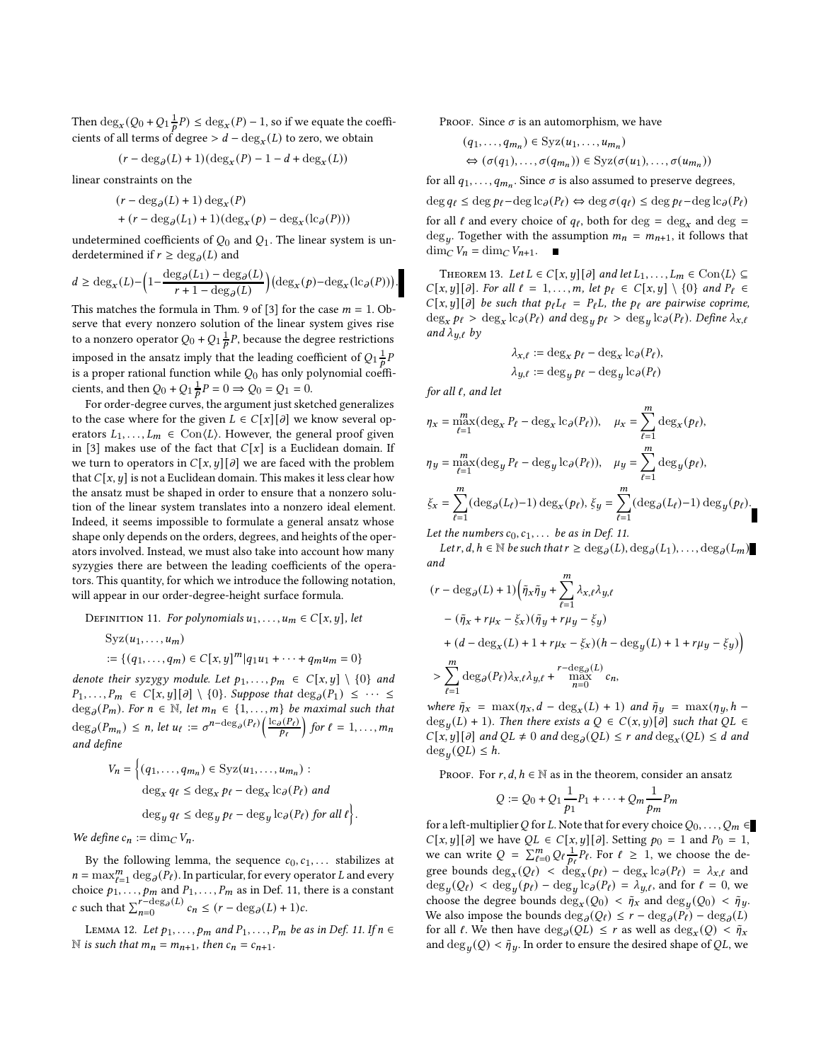Then  $\deg_x(Q_0 + Q_1 \frac{1}{p}P) \leq \deg_x(P) - 1$ , so if we equate the coefficients of all terms of degree >  $d-\deg_x(L)$  to zero, we obtain

$$
(r-\deg_{\partial}(L)+1)(\deg_x(P)-1-d+\deg_x(L))
$$

linear constraints on the

$$
(r - \deg_{\partial}(L) + 1) \deg_x(P)
$$
  
+ 
$$
(r - \deg_{\partial}(L_1) + 1)(\deg_x(p) - \deg_x(\mathrm{lc}_{\partial}(P)))
$$

undetermined coefficients of  $Q_0$  and  $Q_1$ . The linear system is underdetermined if  $r \ge \deg_{\partial}(L)$  and

$$
d \ge \deg_x(L) - \left(1 - \frac{\deg_{\partial}(L_1) - \deg_{\partial}(L)}{r + 1 - \deg_{\partial}(L)}\right) \left(\deg_x(p) - \deg_x(\mathrm{lc}_{\partial}(P))\right).
$$

This matches the formula in Thm. 9 of [\[3\]](#page-8-2) for the case  $m = 1$ . Observe that every nonzero solution of the linear system gives rise to a nonzero operator  $Q_0 + Q_1 \frac{1}{p}P$ , because the degree restrictions imposed in the ansatz imply that the leading coefficient of  $Q_1 \frac{1}{p}P$ is a proper rational function while  $Q_0$  has only polynomial coefficients, and then  $Q_0 + Q_1 \frac{1}{p} P = 0 \Rightarrow Q_0 = Q_1 = 0.$ 

For order-degree curves, the argument just sketched generalizes to the case where for the given  $L \in C[x][\partial]$  we know several operators  $L_1, \ldots, L_m \in \text{Con}(L)$ . However, the general proof given in [\[3\]](#page-8-2) makes use of the fact that  $C[x]$  is a Euclidean domain. If we turn to operators in  $C[x, y][\partial]$  we are faced with the problem that  $C[x, y]$  is not a Euclidean domain. This makes it less clear how the ansatz must be shaped in order to ensure that a nonzero solution of the linear system translates into a nonzero ideal element. Indeed, it seems impossible to formulate a general ansatz whose shape only depends on the orders, degrees, and heights of the operators involved. Instead, we must also take into account how many syzygies there are between the leading coefficients of the operators. This quantity, for which we introduce the following notation, will appear in our order-degree-height surface formula.

<span id="page-6-0"></span>DEFINITION 11. For polynomials  $u_1, \ldots, u_m \in C[x, y]$ , let

$$
Syz(u_1,...,u_m)
$$
  
 := { $(q_1,...,q_m) \in C[x,y]^m | q_1u_1 + \cdots + q_mu_m = 0$ }

denote their syzygy module. Let  $p_1, \ldots, p_m \in C[x, y] \setminus \{0\}$  and  $P_1, \ldots, P_m \in C[x, y][\partial] \setminus \{0\}$ . Suppose that  $\deg_{\partial}(P_1) \leq \cdots \leq$  $\deg_{\partial}(P_m)$ . For  $n \in \mathbb{N}$ , let  $m_n \in \{1, ..., m\}$  be maximal such that  $\deg_{\partial}(P_{m_n}) \leq n$ , let  $u_{\ell} := \sigma^{n-\deg_{\partial}(P_{\ell})} \left( \frac{\log(P_{\ell})}{P_{\ell}} \right)$  for  $\ell = 1, ..., m_n$ and define

$$
V_n = \left\{ (q_1, \dots, q_{m_n}) \in \text{Syz}(u_1, \dots, u_{m_n}) : \right. \\
\text{deg}_x q_\ell \le \text{deg}_x p_\ell - \text{deg}_x \text{lc}_\partial(P_\ell) \text{ and} \\
\text{deg}_y q_\ell \le \text{deg}_y p_\ell - \text{deg}_y \text{lc}_\partial(P_\ell) \text{ for all } \ell \right\}.
$$

We define  $c_n := \dim_C V_n$ .

By the following lemma, the sequence  $c_0, c_1, \ldots$  stabilizes at  $n = \max_{\ell=1}^m \deg_{\partial}(\overline{P_{\ell}})$ . In particular, for every operator L and every choice  $p_1, \ldots, p_m$  and  $P_1, \ldots, P_m$  as in Def. [11,](#page-6-0) there is a constant c such that  $\sum_{n=0}^{r-\deg_{\partial}(L)} c_n \leq (r - \deg_{\partial}(L) + 1)c$ .

LEMMA 12. Let  $p_1, \ldots, p_m$  and  $P_1, \ldots, P_m$  be as in Def. [11.](#page-6-0) If  $n \in \mathbb{Z}$ N is such that  $m_n = m_{n+1}$ , then  $c_n = c_{n+1}$ .

PROOF. Since  $\sigma$  is an automorphism, we have

$$
(q_1, ..., q_{m_n}) \in Syz(u_1, ..., u_{m_n})
$$
  
\n
$$
\Leftrightarrow (\sigma(q_1), ..., \sigma(q_{m_n})) \in Syz(\sigma(u_1), ..., \sigma(u_{m_n}))
$$

for all  $q_1, \ldots, q_{m_n}$ . Since  $\sigma$  is also assumed to preserve degrees,

 $\deg q_{\ell} \leq \deg p_{\ell} - \deg \log P_{\ell} \Leftrightarrow \deg \sigma(q_{\ell}) \leq \deg p_{\ell} - \deg \log P_{\ell}$ for all  $\ell$  and every choice of  $q_{\ell}$ , both for  $\deg = \deg_x$  and  $\deg =$  $\deg_y$ . Together with the assumption  $m_n = m_{n+1}$ , it follows that  $\dim_C V_n = \dim_C V_{n+1}.$ 

<span id="page-6-1"></span>THEOREM 13. Let  $L \in C[x, y][\partial]$  and let  $L_1, \ldots, L_m \in \text{Con}(L) \subseteq$  $C[x, y][\partial]$ . For all  $\ell = 1, ..., m$ , let  $p_{\ell} \in C[x, y] \setminus \{0\}$  and  $P_{\ell} \in$  $C[x, y][\partial]$  be such that  $p_{\ell}L_{\ell} = P_{\ell}L$ , the  $p_{\ell}$  are pairwise coprime,  $\deg_x p_\ell > \deg_x \log(P_\ell)$  and  $\deg_y p_\ell > \deg_y \log(P_\ell)$ . Define  $\lambda_{x,\ell}$ and  $\lambda_{u,\ell}$  by

$$
\begin{aligned} \lambda_{x,\ell} &:= \deg_x p_\ell - \deg_x \mathrm{lc}_{\partial}(P_\ell), \\ \lambda_{y,\ell} &:= \deg_y p_\ell - \deg_y \mathrm{lc}_{\partial}(P_\ell) \end{aligned}
$$

for all  $\ell$ , and let

$$
\eta_x = \max_{\ell=1}^m (\deg_x P_\ell - \deg_x \log_\ell P_\ell)), \quad \mu_x = \sum_{\ell=1}^m \deg_x(p_\ell),
$$
  

$$
\eta_y = \max_{\ell=1}^m (\deg_y P_\ell - \deg_y \log_\ell P_\ell)), \quad \mu_y = \sum_{\ell=1}^m \deg_y(p_\ell),
$$
  

$$
\xi_x = \sum_{\ell=1}^m (\deg_\partial(L_\ell) - 1) \deg_x(p_\ell), \xi_y = \sum_{\ell=1}^m (\deg_\partial(L_\ell) - 1) \deg_y(p_\ell).
$$
  
Let the numbers  $c_2, c_3, \ldots$  be as in Def. 11.

Let the numbers  $c_0, c_1, \ldots$  be as in Def. [11.](#page-6-0)

Let  $r, d, h \in \mathbb{N}$  be such that  $r \ge \deg_{\partial}(L)$ ,  $\deg_{\partial}(L_1)$ , ...,  $\deg_{\partial}(L_m)$ and

$$
\begin{aligned} &(r-\deg_{\partial}(L)+1)\Big(\tilde{\eta}_x\tilde{\eta}_y+\sum_{\ell=1}^m\lambda_{x,\ell}\lambda_{y,\ell}\\ &-(\tilde{\eta}_x+r\mu_x-\xi_x)(\tilde{\eta}_y+r\mu_y-\xi_y)\\ &+(d-\deg_x(L)+1+r\mu_x-\xi_x)(h-\deg_y(L)+1+r\mu_y-\xi_y)\Big)\\ &>\sum_{\ell=1}^m\deg_{\partial}(P_\ell)\lambda_{x,\ell}\lambda_{y,\ell}+\max_{\substack{n=0\\ n=0}}^{r-\deg_{\partial}(L)}c_n,\end{aligned}
$$

where  $\tilde{\eta}_x = \max(\eta_x, d - \deg_x(L) + 1)$  and  $\tilde{\eta}_y = \max(\eta_y, h$  $deg_y(L) + 1$ ). Then there exists a  $Q \in C(x, y)[\partial]$  such that  $QL \in$  $C[x, y][\partial]$  and  $QL \neq 0$  and  $\deg_{\partial}(QL) \leq r$  and  $\deg_x(QL) \leq d$  and  $\deg_y(QL) \leq h$ .

PROOF. For  $r, d, h \in \mathbb{N}$  as in the theorem, consider an ansatz

$$
Q := Q_0 + Q_1 \frac{1}{p_1} P_1 + \dots + Q_m \frac{1}{p_m} P_m
$$

for a left-multiplier Q for L. Note that for every choice  $Q_0, \ldots, Q_m \in$  $C[x, y][\partial]$  we have  $QL \in C[x, y][\partial]$ . Setting  $p_0 = 1$  and  $P_0 = 1$ , we can write  $Q = \sum_{\ell=0}^{m} Q_{\ell} \frac{1}{p_{\ell}} P_{\ell}$ . For  $\ell \geq 1$ , we choose the degree bounds  $\deg_x(Q_\ell) < \deg_x(p_\ell) - \deg_x \log_P(P_\ell) = \lambda_{x,\ell}$  and  $\deg_y(Q_\ell) < \deg_y(p_\ell) - \deg_y \log_p(P_\ell) = \lambda_{y,\ell}$ , and for  $\ell = 0$ , we choose the degree bounds  $\deg_x(Q_0) < \tilde{\eta}_x$  and  $\deg_y(Q_0) < \tilde{\eta}_y$ . We also impose the bounds  $\deg_{\partial}(Q_{\ell}) \leq r - \deg_{\partial}(P_{\ell}) - \deg_{\partial}(L)$ for all  $\ell$ . We then have  $\deg_{\partial}(QL) \leq r$  as well as  $\deg_x(Q) < \tilde{\eta}_x$ and  $\deg_y(Q) < \tilde{\eta}_y$ . In order to ensure the desired shape of QL, we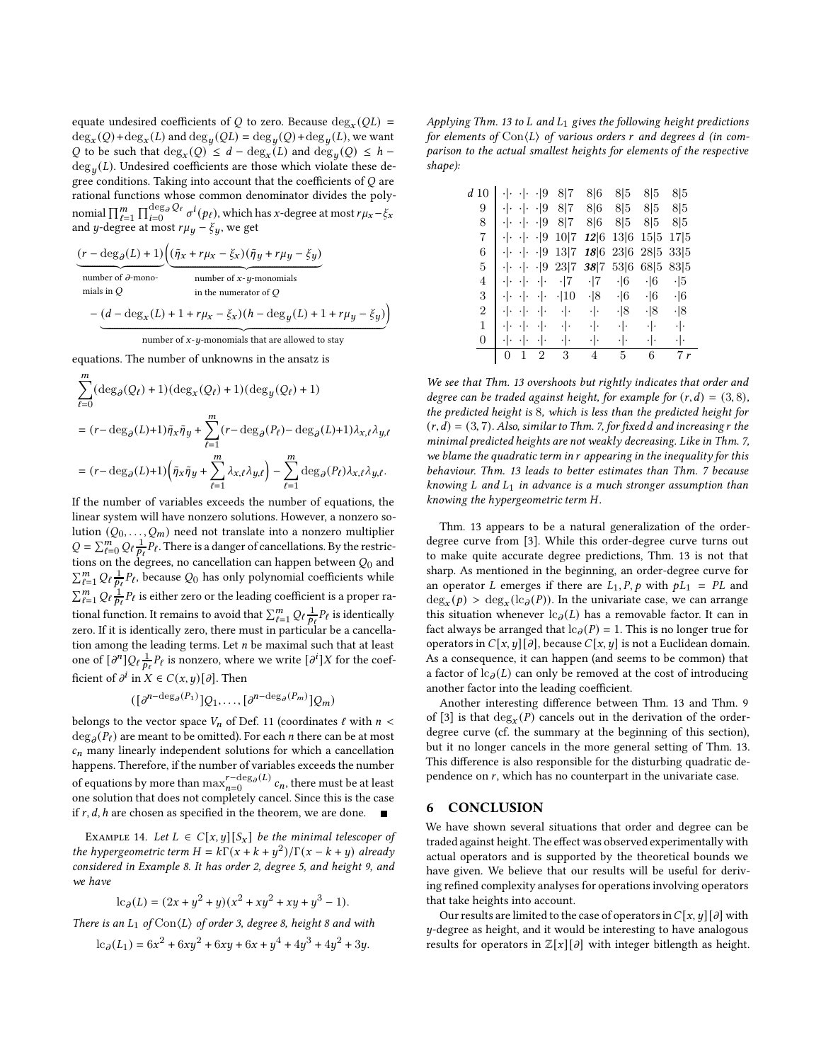equate undesired coefficients of  $Q$  to zero. Because  $\deg_x(QL)$  =  $\deg_x(Q) + \deg_x(L)$  and  $\deg_y(QL) = \deg_y(Q) + \deg_y(L)$ , we want Q to be such that  $deg_x(Q) \leq d - deg_x(L)$  and  $deg_y(Q) \leq h \deg_y(L)$ . Undesired coefficients are those which violate these degree conditions. Taking into account that the coefficients of  $Q$  are rational functions whose common denominator divides the polynomial  $\prod_{\ell=1}^m\prod_{i=0}^{\deg_\partial Q_\ell}\sigma^i(p_\ell)$ , which has x-degree at most  $r\mu_x-\xi_x$ and *y*-degree at most  $r\mu_y - \xi_y$ , we get

$$
\underbrace{(r - \deg_{\partial}(L) + 1)}_{\text{number of }\partial\text{-mono}} \underbrace{(\tilde{\eta}_x + r\mu_x - \xi_x)(\tilde{\eta}_y + r\mu_y - \xi_y)}_{\text{number of }\partial\text{-mono}}_{\text{in the numerator of }Q}
$$
\n
$$
- (d - \deg_x(L) + 1 + r\mu_x - \xi_x)(h - \deg_y(L) + 1 + r\mu_y - \xi_y)
$$

<sup>|</sup> {z } number of 𝑥-𝑦-monomials that are allowed to stay

Ι

equations. The number of unknowns in the ansatz is

 $\boldsymbol{m}$ 

$$
\begin{aligned} &\sum_{\ell=0}(\deg_{\partial}(Q_{\ell})+1)(\deg_{x}(Q_{\ell})+1)(\deg_{y}(Q_{\ell})+1)\\ &= (r-\deg_{\partial}(L)+1)\tilde{\eta}_{x}\tilde{\eta}_{y}+\sum_{\ell=1}^{m}(r-\deg_{\partial}(P_{\ell})-\deg_{\partial}(L)+1)\lambda_{x,\ell}\lambda_{y,\ell}\\ &= (r-\deg_{\partial}(L)+1)\Big(\tilde{\eta}_{x}\tilde{\eta}_{y}+\sum_{\ell=1}^{m}\lambda_{x,\ell}\lambda_{y,\ell}\Big)-\sum_{\ell=1}^{m}\deg_{\partial}(P_{\ell})\lambda_{x,\ell}\lambda_{y,\ell}. \end{aligned}
$$

If the number of variables exceeds the number of equations, the linear system will have nonzero solutions. However, a nonzero solution  $(Q_0, \ldots, Q_m)$  need not translate into a nonzero multiplier  $Q = \sum_{\ell=0}^{m} Q_{\ell} \frac{1}{p_{\ell}} P_{\ell}$ . There is a danger of cancellations. By the restrictions on the degrees, no cancellation can happen between  $Q_0$  and  $\sum_{\ell=1}^m \mathcal{Q}_{\ell} \frac{1}{p_{\ell}} P_{\ell}$ , because  $\mathcal{Q}_0$  has only polynomial coefficients while  $\sum_{\ell=1}^{m} Q_{\ell} \frac{1}{p_{\ell}} P_{\ell}$  is either zero or the leading coefficient is a proper rational function. It remains to avoid that  $\sum_{\ell=1}^m \mathcal{Q}_\ell \frac{1}{p_\ell} P_\ell$  is identically zero. If it is identically zero, there must in particular be a cancellation among the leading terms. Let  $n$  be maximal such that at least one of  $\left[\partial^n\right]Q_\ell\frac{1}{p_\ell}P_\ell$  is nonzero, where we write  $\left[\partial^i\right]X$  for the coefficient of  $\partial^i$  in  $X \in C(x, y)[\partial]$ . Then

$$
([\partial^{n-\deg_{\partial}(P_1)}]Q_1,\ldots,[\partial^{n-\deg_{\partial}(P_m)}]Q_m)
$$

belongs to the vector space  $V_n$  of Def. [11](#page-6-0) (coordinates  $\ell$  with  $n <$  $\deg_{\partial}(P_{\ell})$  are meant to be omitted). For each *n* there can be at most  $c_n$  many linearly independent solutions for which a cancellation happens. Therefore, if the number of variables exceeds the number of equations by more than  $\max_{n=0}^{r-\deg_{\partial}(L)} c_n$ , there must be at least one solution that does not completely cancel. Since this is the case if  $r$ ,  $d$ ,  $h$  are chosen as specified in the theorem, we are done.

EXAMPLE 14. Let  $L \in C[x, y][S_x]$  be the minimal telescoper of the hypergeometric term  $H = k\Gamma(x + k + y^2)/\Gamma(x - k + y)$  already considered in Example [8.](#page-4-3) It has order 2, degree 5, and height 9, and we have

$$
lc_{\partial}(L) = (2x + y^{2} + y)(x^{2} + xy^{2} + xy + y^{3} - 1).
$$

There is an  $L_1$  of  $Con\langle L \rangle$  of order 3, degree 8, height 8 and with

$$
lc_{\partial}(L_1) = 6x^2 + 6xy^2 + 6xy + 6x + y^4 + 4y^3 + 4y^2 + 3y.
$$

Applying Thm. [13](#page-6-1) to  $L$  and  $L_1$  gives the following height predictions for elements of  $Con\langle L\rangle$  of various orders r and degrees d (in comparison to the actual smallest heights for elements of the respective shape):

| d 10           |                 |           | $\cdot$  9      | 8 7         | 8 6        | 8 5           | 8 5        | 8 5        |
|----------------|-----------------|-----------|-----------------|-------------|------------|---------------|------------|------------|
| 9              |                 |           | $\cdot$  9      | 8 7         | 8 6        | 8 5           | 8 5        | 8 5        |
| 8              | ٠١.             | ٠١.       | $\cdot$  9      | 8 7         | 8 6        | 8 5           | 8 5        | 8 5        |
| 7              | $\cdot$ $\cdot$ | $\cdot$ . | $\cdot$  9      | 10 7        | 12 6       | 13 6          | 15 5       | 17 5       |
| 6              | ٠ .             | $ \cdot $ | $\cdot$  9      | 13 7        |            | $18 6\ 23 6$  | 28 5       | 33 5       |
| 5              | ٠١.             | $\cdot$ . | $\cdot$  9      | 23 7        | 38 7       | 53 6          | 68 5       | 83 5       |
| 4              | ٠١.             | ٠١.       | ٠ .             | $\cdot$  7  | $\cdot$  7 | $\cdot$ 6     | $\cdot$ 6  | $\cdot$  5 |
| 3              | ٠Ι.             |           | ٠١.             | $\cdot$  10 | $\cdot$  8 | $\cdot$ 6     | $\cdot$  6 | $\cdot$  6 |
| $\overline{2}$ |                 |           | ٠١.             | ٠ .         | ٠ .        | $\cdot$  8    | $\cdot$  8 | $\cdot$  8 |
| 1              |                 |           | ٠١٠             | ٠ .         | ٠ .        | ٠ ۰           | ٠١.        | ٠ .        |
| 0              |                 |           | $\cdot$ $\cdot$ | ٠١.         | ٠ .        | $\cdot \cdot$ | ٠١٠        | ٠ ۰        |
|                | 0               | 1         | $\overline{2}$  | 3           | 4          | 5             | 6          | 7 r        |

We see that Thm. [13](#page-6-1) overshoots but rightly indicates that order and degree can be traded against height, for example for  $(r, d) = (3, 8)$ , the predicted height is 8, which is less than the predicted height for  $(r, d) = (3, 7)$ . Also, similar to Thm. [7,](#page-4-1) for fixed d and increasing r the minimal predicted heights are not weakly decreasing. Like in Thm. [7,](#page-4-1) we blame the quadratic term in r appearing in the inequality for this behaviour. Thm. [13](#page-6-1) leads to better estimates than Thm. [7](#page-4-1) because knowing  $L$  and  $L_1$  in advance is a much stronger assumption than knowing the hypergeometric term H.

Thm. [13](#page-6-1) appears to be a natural generalization of the orderdegree curve from [\[3](#page-8-2)]. While this order-degree curve turns out to make quite accurate degree predictions, Thm. [13](#page-6-1) is not that sharp. As mentioned in the beginning, an order-degree curve for an operator L emerges if there are  $L_1$ ,  $P$ ,  $p$  with  $pL_1 = PL$  and  $deg_x(p) > deg_x(lc_{\partial}(P))$ . In the univariate case, we can arrange this situation whenever  $lc_{\partial}(L)$  has a removable factor. It can in fact always be arranged that  $lc_{\partial}(P) = 1$ . This is no longer true for operators in  $C[x, y][\partial]$ , because  $C[x, y]$  is not a Euclidean domain. As a consequence, it can happen (and seems to be common) that a factor of  $lc_{\partial}(L)$  can only be removed at the cost of introducing another factor into the leading coefficient.

Another interesting difference between Thm. [13](#page-6-1) and Thm. 9 of [\[3\]](#page-8-2) is that  $\deg_x(P)$  cancels out in the derivation of the orderdegree curve (cf. the summary at the beginning of this section), but it no longer cancels in the more general setting of Thm. [13.](#page-6-1) This difference is also responsible for the disturbing quadratic dependence on  $r$ , which has no counterpart in the univariate case.

## 6 CONCLUSION

We have shown several situations that order and degree can be traded against height. The effect was observed experimentally with actual operators and is supported by the theoretical bounds we have given. We believe that our results will be useful for deriving refined complexity analyses for operations involving operators that take heights into account.

Our results are limited to the case of operators in  $C[x, y][\partial]$  with  $y$ -degree as height, and it would be interesting to have analogous results for operators in  $\mathbb{Z}[x][\partial]$  with integer bitlength as height.